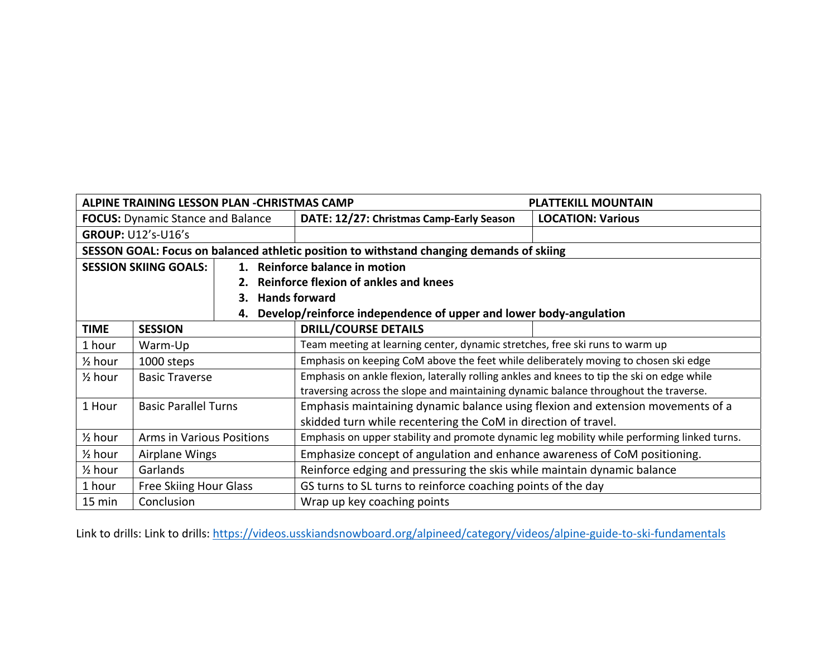| ALPINE TRAINING LESSON PLAN - CHRISTMAS CAMP                            |                                  |                                          |                                                                                             | <b>PLATTEKILL MOUNTAIN</b> |  |
|-------------------------------------------------------------------------|----------------------------------|------------------------------------------|---------------------------------------------------------------------------------------------|----------------------------|--|
| <b>FOCUS:</b> Dynamic Stance and Balance                                |                                  |                                          | DATE: 12/27: Christmas Camp-Early Season                                                    | <b>LOCATION: Various</b>   |  |
| <b>GROUP: U12's-U16's</b>                                               |                                  |                                          |                                                                                             |                            |  |
|                                                                         |                                  |                                          | SESSON GOAL: Focus on balanced athletic position to withstand changing demands of skiing    |                            |  |
| <b>SESSION SKIING GOALS:</b>                                            |                                  |                                          | 1. Reinforce balance in motion                                                              |                            |  |
|                                                                         |                                  | 2. Reinforce flexion of ankles and knees |                                                                                             |                            |  |
| 3.                                                                      |                                  |                                          | <b>Hands forward</b>                                                                        |                            |  |
| Develop/reinforce independence of upper and lower body-angulation<br>4. |                                  |                                          |                                                                                             |                            |  |
| <b>TIME</b>                                                             | <b>SESSION</b>                   |                                          | <b>DRILL/COURSE DETAILS</b>                                                                 |                            |  |
| 1 hour                                                                  | Warm-Up                          |                                          | Team meeting at learning center, dynamic stretches, free ski runs to warm up                |                            |  |
| $\frac{1}{2}$ hour                                                      | 1000 steps                       |                                          | Emphasis on keeping CoM above the feet while deliberately moving to chosen ski edge         |                            |  |
| $\frac{1}{2}$ hour                                                      | <b>Basic Traverse</b>            |                                          | Emphasis on ankle flexion, laterally rolling ankles and knees to tip the ski on edge while  |                            |  |
|                                                                         |                                  |                                          | traversing across the slope and maintaining dynamic balance throughout the traverse.        |                            |  |
| 1 Hour                                                                  | <b>Basic Parallel Turns</b>      |                                          | Emphasis maintaining dynamic balance using flexion and extension movements of a             |                            |  |
|                                                                         |                                  |                                          | skidded turn while recentering the CoM in direction of travel.                              |                            |  |
| $\frac{1}{2}$ hour                                                      | <b>Arms in Various Positions</b> |                                          | Emphasis on upper stability and promote dynamic leg mobility while performing linked turns. |                            |  |
| $\frac{1}{2}$ hour                                                      | Airplane Wings                   |                                          | Emphasize concept of angulation and enhance awareness of CoM positioning.                   |                            |  |
| $\frac{1}{2}$ hour                                                      | Garlands                         |                                          | Reinforce edging and pressuring the skis while maintain dynamic balance                     |                            |  |
| 1 hour                                                                  | <b>Free Skiing Hour Glass</b>    |                                          | GS turns to SL turns to reinforce coaching points of the day                                |                            |  |
| 15 min                                                                  | Conclusion                       |                                          | Wrap up key coaching points                                                                 |                            |  |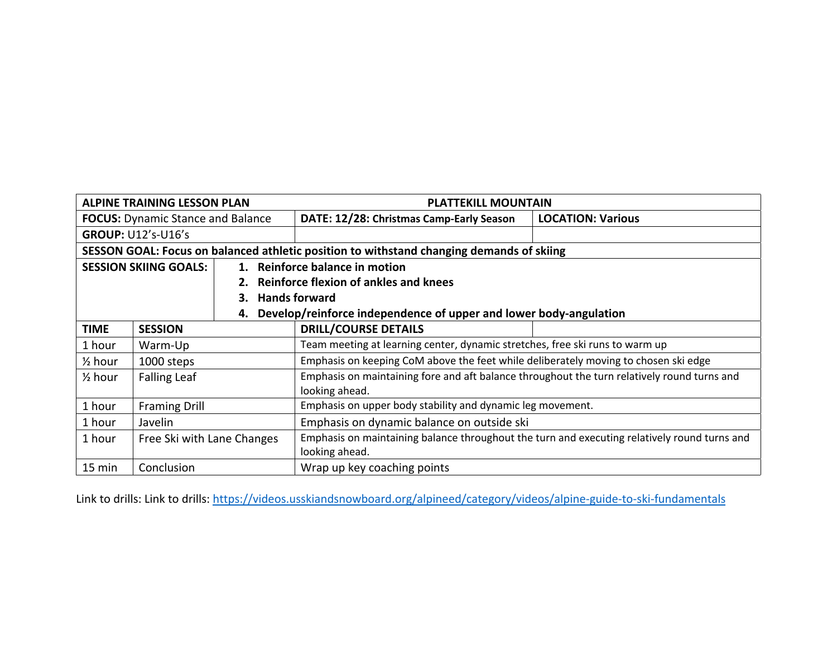| <b>ALPINE TRAINING LESSON PLAN</b>                                                       |                     |  | <b>PLATTEKILL MOUNTAIN</b>                                                                                     |                          |  |
|------------------------------------------------------------------------------------------|---------------------|--|----------------------------------------------------------------------------------------------------------------|--------------------------|--|
| <b>FOCUS:</b> Dynamic Stance and Balance                                                 |                     |  | DATE: 12/28: Christmas Camp-Early Season                                                                       | <b>LOCATION: Various</b> |  |
| <b>GROUP: U12's-U16's</b>                                                                |                     |  |                                                                                                                |                          |  |
| SESSON GOAL: Focus on balanced athletic position to withstand changing demands of skiing |                     |  |                                                                                                                |                          |  |
| <b>SESSION SKIING GOALS:</b>                                                             |                     |  | 1. Reinforce balance in motion                                                                                 |                          |  |
|                                                                                          |                     |  | 2. Reinforce flexion of ankles and knees                                                                       |                          |  |
|                                                                                          |                     |  | 3. Hands forward                                                                                               |                          |  |
| 4.                                                                                       |                     |  | Develop/reinforce independence of upper and lower body-angulation                                              |                          |  |
| <b>TIME</b>                                                                              | <b>SESSION</b>      |  | <b>DRILL/COURSE DETAILS</b>                                                                                    |                          |  |
| 1 hour                                                                                   | Warm-Up             |  | Team meeting at learning center, dynamic stretches, free ski runs to warm up                                   |                          |  |
| $\frac{1}{2}$ hour                                                                       | 1000 steps          |  | Emphasis on keeping CoM above the feet while deliberately moving to chosen ski edge                            |                          |  |
| $\frac{1}{2}$ hour                                                                       | <b>Falling Leaf</b> |  | Emphasis on maintaining fore and aft balance throughout the turn relatively round turns and                    |                          |  |
| 1 hour                                                                                   |                     |  | looking ahead.<br>Emphasis on upper body stability and dynamic leg movement.                                   |                          |  |
| <b>Framing Drill</b>                                                                     |                     |  |                                                                                                                |                          |  |
| 1 hour                                                                                   | Javelin             |  | Emphasis on dynamic balance on outside ski                                                                     |                          |  |
| 1 hour<br>Free Ski with Lane Changes                                                     |                     |  | Emphasis on maintaining balance throughout the turn and executing relatively round turns and<br>looking ahead. |                          |  |
| $15 \text{ min}$<br>Conclusion                                                           |                     |  | Wrap up key coaching points                                                                                    |                          |  |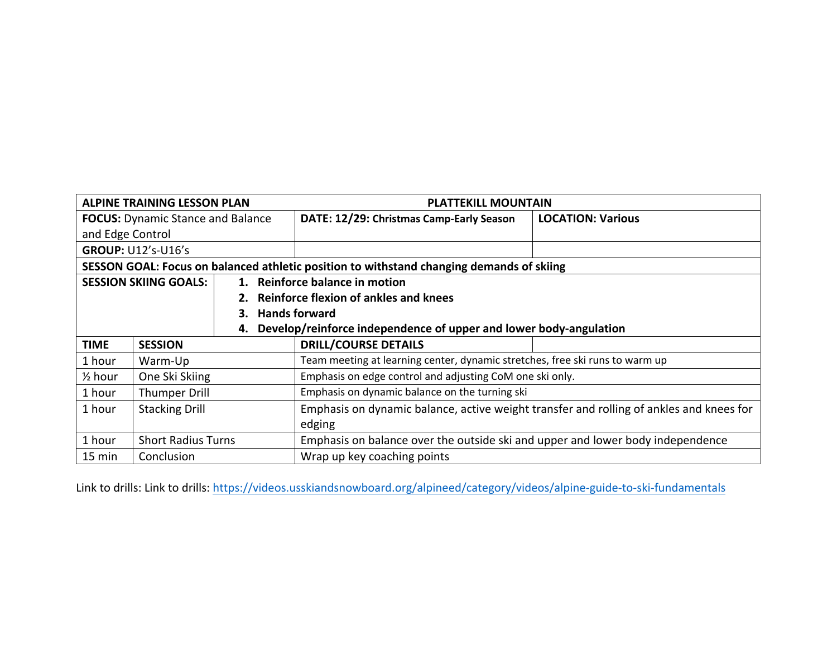| <b>ALPINE TRAINING LESSON PLAN</b>       |                           |  | <b>PLATTEKILL MOUNTAIN</b>                                                               |                          |
|------------------------------------------|---------------------------|--|------------------------------------------------------------------------------------------|--------------------------|
| <b>FOCUS:</b> Dynamic Stance and Balance |                           |  | DATE: 12/29: Christmas Camp-Early Season                                                 | <b>LOCATION: Various</b> |
| and Edge Control                         |                           |  |                                                                                          |                          |
| <b>GROUP: U12's-U16's</b>                |                           |  |                                                                                          |                          |
|                                          |                           |  | SESSON GOAL: Focus on balanced athletic position to withstand changing demands of skiing |                          |
| <b>SESSION SKIING GOALS:</b>             |                           |  | 1. Reinforce balance in motion                                                           |                          |
|                                          |                           |  | 2. Reinforce flexion of ankles and knees                                                 |                          |
| 3.                                       |                           |  | <b>Hands forward</b>                                                                     |                          |
| 4.                                       |                           |  | Develop/reinforce independence of upper and lower body-angulation                        |                          |
| <b>TIME</b>                              | <b>SESSION</b>            |  | <b>DRILL/COURSE DETAILS</b>                                                              |                          |
| 1 hour                                   | Warm-Up                   |  | Team meeting at learning center, dynamic stretches, free ski runs to warm up             |                          |
| $\frac{1}{2}$ hour                       | One Ski Skiing            |  | Emphasis on edge control and adjusting CoM one ski only.                                 |                          |
| 1 hour                                   | Thumper Drill             |  | Emphasis on dynamic balance on the turning ski                                           |                          |
| 1 hour                                   | <b>Stacking Drill</b>     |  | Emphasis on dynamic balance, active weight transfer and rolling of ankles and knees for  |                          |
|                                          |                           |  | edging                                                                                   |                          |
| 1 hour                                   | <b>Short Radius Turns</b> |  | Emphasis on balance over the outside ski and upper and lower body independence           |                          |
| 15 min<br>Conclusion                     |                           |  | Wrap up key coaching points                                                              |                          |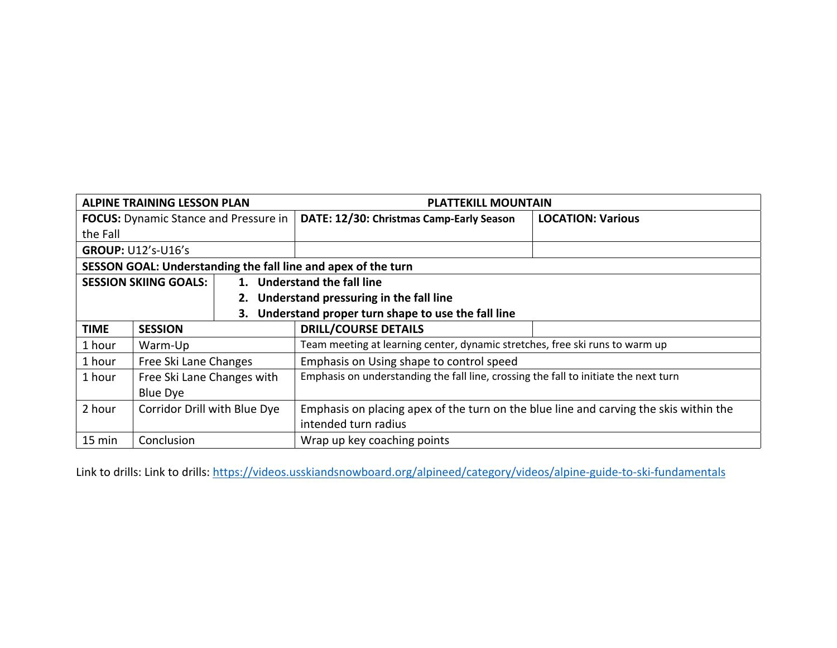| <b>ALPINE TRAINING LESSON PLAN</b>                            |                              |  | <b>PLATTEKILL MOUNTAIN</b>                                                            |                          |
|---------------------------------------------------------------|------------------------------|--|---------------------------------------------------------------------------------------|--------------------------|
| <b>FOCUS:</b> Dynamic Stance and Pressure in                  |                              |  | DATE: 12/30: Christmas Camp-Early Season                                              | <b>LOCATION: Various</b> |
| the Fall                                                      |                              |  |                                                                                       |                          |
| <b>GROUP: U12's-U16's</b>                                     |                              |  |                                                                                       |                          |
| SESSON GOAL: Understanding the fall line and apex of the turn |                              |  |                                                                                       |                          |
| <b>SESSION SKIING GOALS:</b>                                  |                              |  | 1. Understand the fall line                                                           |                          |
|                                                               |                              |  | 2. Understand pressuring in the fall line                                             |                          |
| Understand proper turn shape to use the fall line<br>3.       |                              |  |                                                                                       |                          |
| <b>TIME</b>                                                   | <b>SESSION</b>               |  | <b>DRILL/COURSE DETAILS</b>                                                           |                          |
| 1 hour                                                        | Warm-Up                      |  | Team meeting at learning center, dynamic stretches, free ski runs to warm up          |                          |
| 1 hour                                                        | Free Ski Lane Changes        |  | Emphasis on Using shape to control speed                                              |                          |
| 1 hour                                                        | Free Ski Lane Changes with   |  | Emphasis on understanding the fall line, crossing the fall to initiate the next turn  |                          |
|                                                               | Blue Dye                     |  |                                                                                       |                          |
| 2 hour                                                        | Corridor Drill with Blue Dye |  | Emphasis on placing apex of the turn on the blue line and carving the skis within the |                          |
|                                                               |                              |  | intended turn radius                                                                  |                          |
| 15 min<br>Conclusion                                          |                              |  | Wrap up key coaching points                                                           |                          |